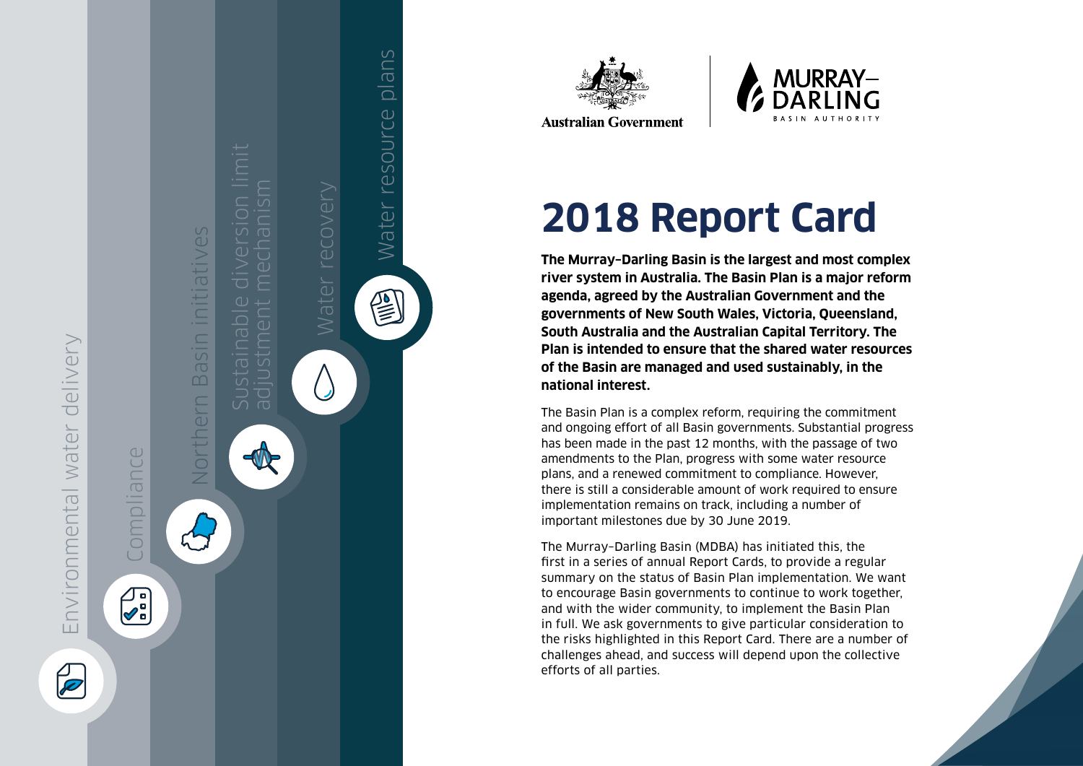





**Australian Government** 

# **2018 Report Card**

**The Murray–Darling Basin is the largest and most complex river system in Australia. The Basin Plan is a major reform agenda, agreed by the Australian Government and the governments of New South Wales, Victoria, Queensland, South Australia and the Australian Capital Territory. The Plan is intended to ensure that the shared water resources of the Basin are managed and used sustainably, in the national interest.** 

The Basin Plan is a complex reform, requiring the commitment and ongoing effort of all Basin governments. Substantial progress has been made in the past 12 months, with the passage of two amendments to the Plan, progress with some water resource plans, and a renewed commitment to compliance. However, there is still a considerable amount of work required to ensure implementation remains on track, including a number of important milestones due by 30 June 2019.

The Murray–Darling Basin (MDBA) has initiated this, the first in a series of annual Report Cards, to provide a regular summary on the status of Basin Plan implementation. We want to encourage Basin governments to continue to work together, and with the wider community, to implement the Basin Plan in full. We ask governments to give particular consideration to the risks highlighted in this Report Card. There are a number of challenges ahead, and success will depend upon the collective efforts of all parties.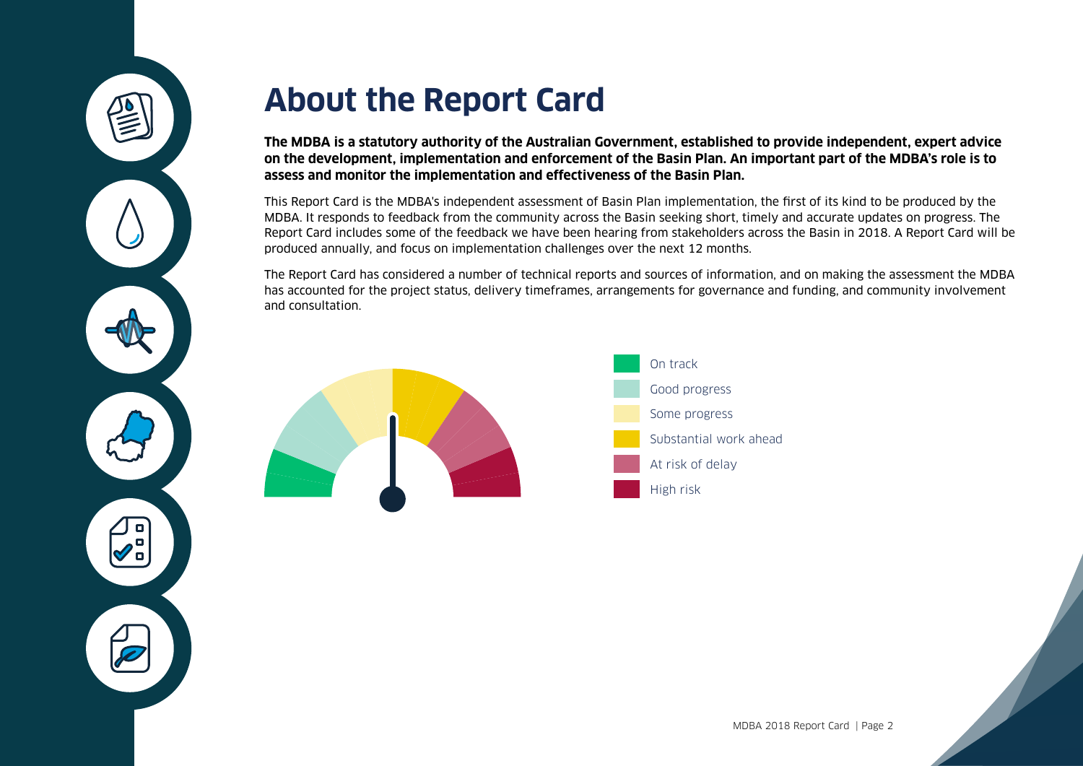

## **About the Report Card**

**The MDBA is a statutory authority of the Australian Government, established to provide independent, expert advice on the development, implementation and enforcement of the Basin Plan. An important part of the MDBA's role is to assess and monitor the implementation and effectiveness of the Basin Plan.** 

This Report Card is the MDBA's independent assessment of Basin Plan implementation, the first of its kind to be produced by the MDBA. It responds to feedback from the community across the Basin seeking short, timely and accurate updates on progress. The Report Card includes some of the feedback we have been hearing from stakeholders across the Basin in 2018. A Report Card will be produced annually, and focus on implementation challenges over the next 12 months.

The Report Card has considered a number of technical reports and sources of information, and on making the assessment the MDBA has accounted for the project status, delivery timeframes, arrangements for governance and funding, and community involvement and consultation.



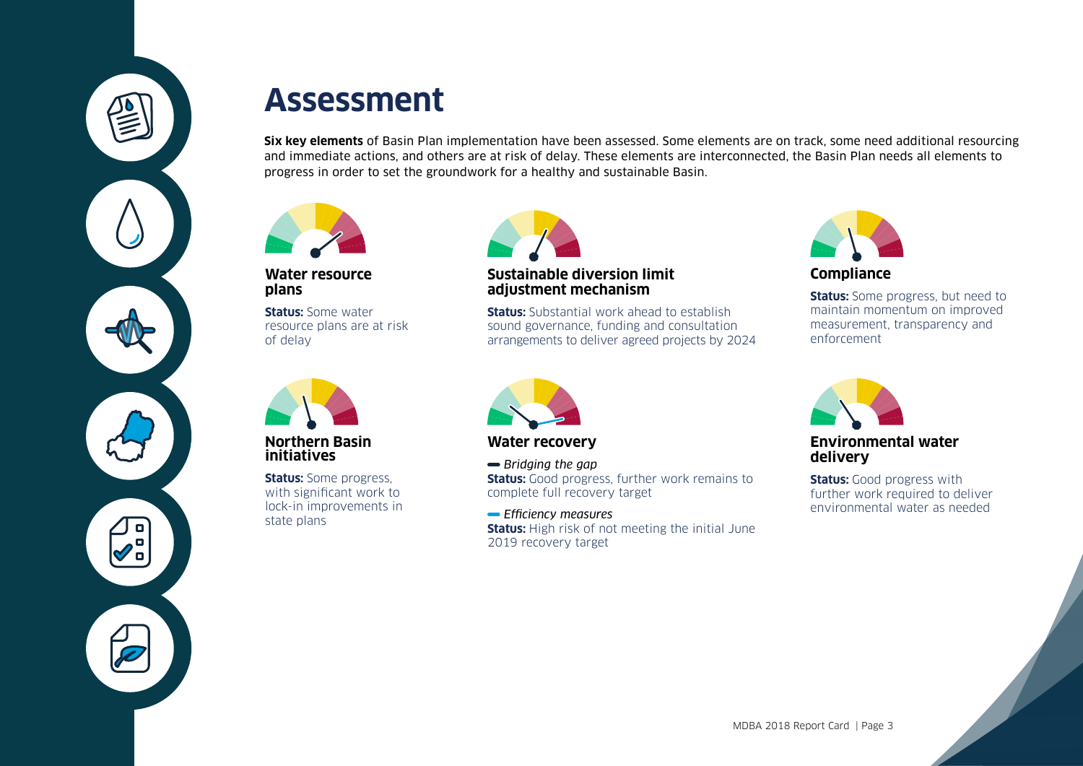

## **Assessment**

**Six key elements** of Basin Plan implementation have been assessed. Some elements are on track, some need additional resourcing and immediate actions, and others are at risk of delay. These elements are interconnected, the Basin Plan needs all elements to progress in order to set the groundwork for a healthy and sustainable Basin.



#### **Water resource plans**

**Status:** Some water resource plans are at risk of delay



**Northern Basin initiatives**

**Status:** Some progress, with significant work to lock-in improvements in state plans



### **Sustainable diversion limit adjustment mechanism**

**Status:** Substantial work ahead to establish sound governance, funding and consultation arrangements to deliver agreed projects by 2024



**Compliance**

**Status:** Some progress, but need to maintain momentum on improved measurement, transparency and enforcement



**Water recovery**

*Bridging the gap* **Status:** Good progress, further work remains to complete full recovery target

 *Efficiency measures* **Status:** High risk of not meeting the initial June 2019 recovery target



**Environmental water delivery**

**Status:** Good progress with further work required to deliver environmental water as needed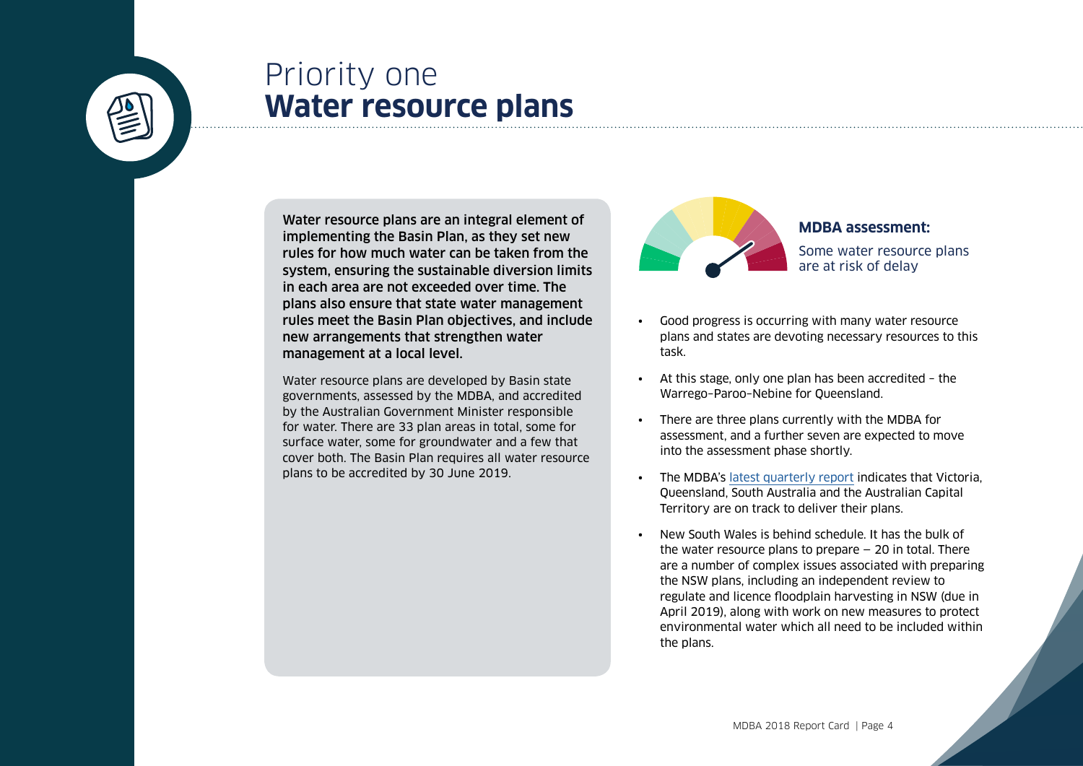

## <span id="page-3-0"></span>Priority one **Water resource plans**

Water resource plans are an integral element of implementing the Basin Plan, as they set new rules for how much water can be taken from the system, ensuring the sustainable diversion limits in each area are not exceeded over time. The plans also ensure that state water management rules meet the Basin Plan objectives, and include new arrangements that strengthen water management at a local level.

Water resource plans are developed by Basin state governments, assessed by the MDBA, and accredited by the Australian Government Minister responsible for water. There are 33 plan areas in total, some for surface water, some for groundwater and a few that cover both. The Basin Plan requires all water resource plans to be accredited by 30 June 2019.



**MDBA assessment:**  Some water resource plans are at risk of delay

- Good progress is occurring with many water resource plans and states are devoting necessary resources to this task.
- At this stage, only one plan has been accredited the Warrego–Paroo–Nebine for Queensland.
- There are three plans currently with the MDBA for assessment, and a further seven are expected to move into the assessment phase shortly.
- The MDBA's [latest quarterly report](https://www.mdba.gov.au/publications/mdba-reports/water-resource-plan-quarterly-reports) indicates that Victoria, Queensland, South Australia and the Australian Capital Territory are on track to deliver their plans.
- New South Wales is behind schedule. It has the bulk of the water resource plans to prepare  $-20$  in total. There are a number of complex issues associated with preparing the NSW plans, including an independent review to regulate and licence floodplain harvesting in NSW (due in April 2019), along with work on new measures to protect environmental water which all need to be included within the plans.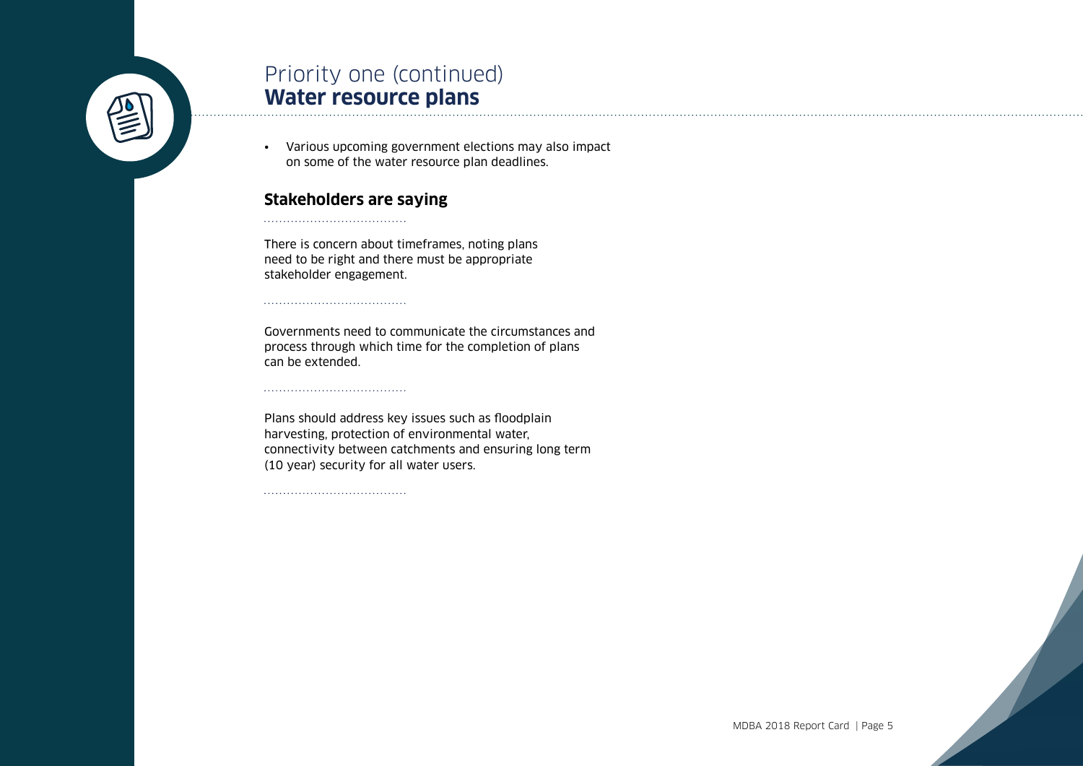

## Priority one (continued) **Water resource plans**

• Various upcoming government elections may also impact on some of the water resource plan deadlines.

### **Stakeholders are saying**

There is concern about timeframes, noting plans need to be right and there must be appropriate stakeholder engagement.

Governments need to communicate the circumstances and process through which time for the completion of plans can be extended.

Plans should address key issues such as floodplain harvesting, protection of environmental water, connectivity between catchments and ensuring long term (10 year) security for all water users.

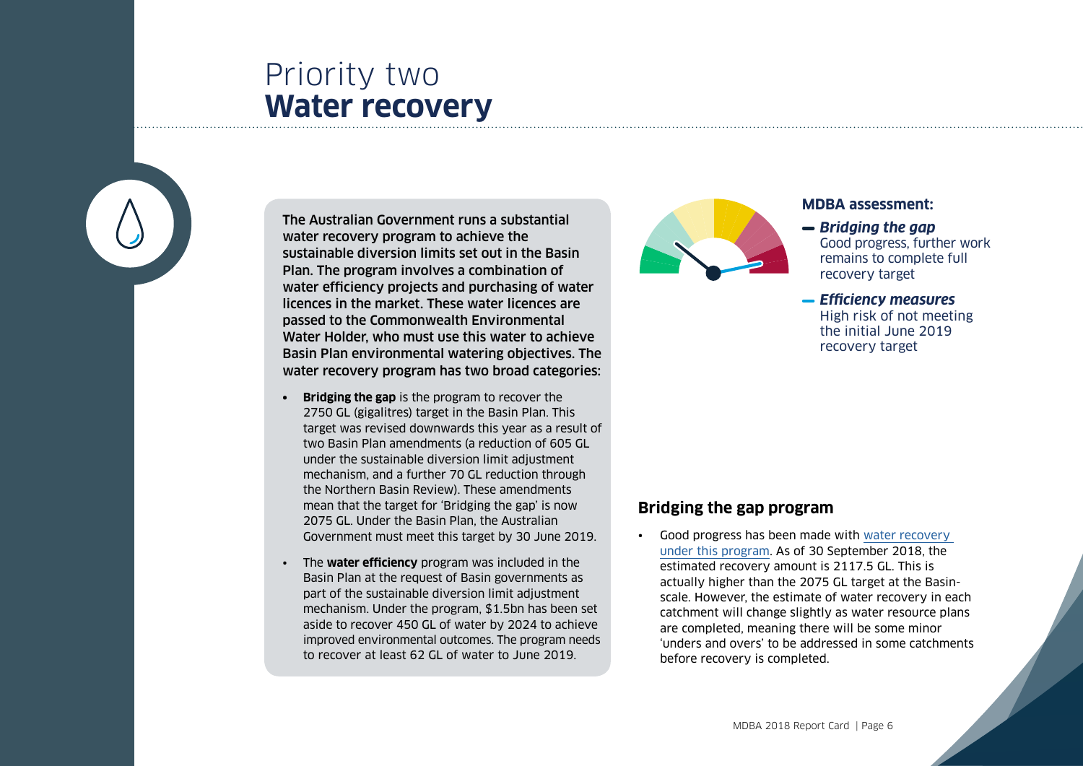## <span id="page-5-0"></span>Priority two **Water recovery**

The Australian Government runs a substantial water recovery program to achieve the sustainable diversion limits set out in the Basin Plan. The program involves a combination of water efficiency projects and purchasing of water licences in the market. These water licences are passed to the Commonwealth Environmental Water Holder, who must use this water to achieve Basin Plan environmental watering objectives. The water recovery program has two broad categories:

- **Bridging the gap** is the program to recover the 2750 GL (gigalitres) target in the Basin Plan. This target was revised downwards this year as a result of two Basin Plan amendments (a reduction of 605 GL under the sustainable diversion limit adjustment mechanism, and a further 70 GL reduction through the Northern Basin Review). These amendments mean that the target for 'Bridging the gap' is now 2075 GL. Under the Basin Plan, the Australian Government must meet this target by 30 June 2019.
- The **water efficiency** program was included in the Basin Plan at the request of Basin governments as part of the sustainable diversion limit adjustment mechanism. Under the program, \$1.5bn has been set aside to recover 450 GL of water by 2024 to achieve improved environmental outcomes. The program needs to recover at least 62 GL of water to June 2019.



### **MDBA assessment:**

- **Bridging the gap**  Good progress, further work remains to complete full recovery target
- *Efficiency measures* High risk of not meeting the initial June 2019 recovery target

### **Bridging the gap program**

Good progress has been made with water recovery [under this program](http://www.agriculture.gov.au/water/mdb/progress-recovery/progress-of-water-recovery). As of 30 September 2018, the estimated recovery amount is 2117.5 GL. This is actually higher than the 2075 GL target at the Basinscale. However, the estimate of water recovery in each catchment will change slightly as water resource plans are completed, meaning there will be some minor 'unders and overs' to be addressed in some catchments before recovery is completed.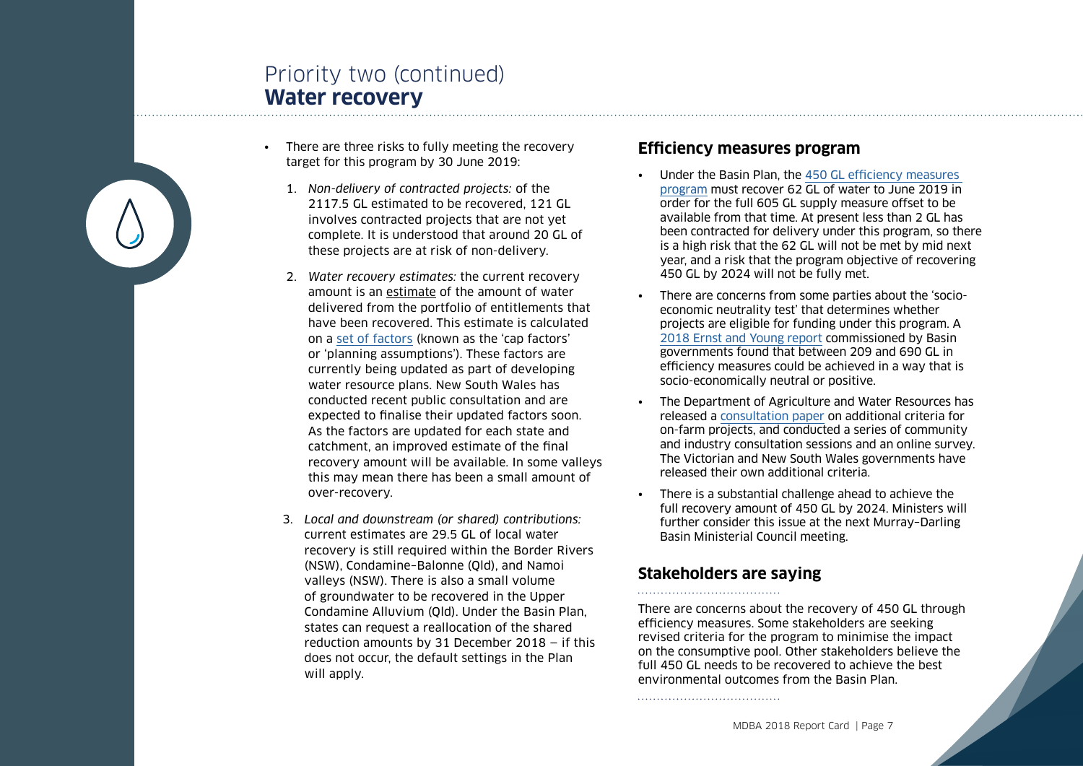## Priority two (continued) **Water recovery**

- There are three risks to fully meeting the recovery target for this program by 30 June 2019:
	- 1. *Non-delivery of contracted projects:* of the 2117.5 GL estimated to be recovered, 121 GL involves contracted projects that are not yet complete. It is understood that around 20 GL of these projects are at risk of non-delivery.
	- 2. *Water recovery estimates:* the current recovery amount is an estimate of the amount of water delivered from the portfolio of entitlements that have been recovered. This estimate is calculated on a [set of factors](https://www.mdba.gov.au/basin-plan-roll-out/water-recovery/factors-water-recovery) (known as the 'cap factors' or 'planning assumptions'). These factors are currently being updated as part of developing water resource plans. New South Wales has conducted recent public consultation and are expected to finalise their updated factors soon. As the factors are updated for each state and catchment, an improved estimate of the final recovery amount will be available. In some valleys this may mean there has been a small amount of over-recovery.
	- 3. *Local and downstream (or shared) contributions:* current estimates are 29.5 GL of local water recovery is still required within the Border Rivers (NSW), Condamine–Balonne (Qld), and Namoi valleys (NSW). There is also a small volume of groundwater to be recovered in the Upper Condamine Alluvium (Qld). Under the Basin Plan, states can request a reallocation of the shared reduction amounts by 31 December 2018 — if this does not occur, the default settings in the Plan will apply.

### **Efficiency measures program**

- Under the Basin Plan, the [450 GL efficiency measures](http://www.agriculture.gov.au/water/mdb/programs/basin-wide/mdbwi-program)  [program](http://www.agriculture.gov.au/water/mdb/programs/basin-wide/mdbwi-program) must recover 62 GL of water to June 2019 in order for the full 605 GL supply measure offset to be available from that time. At present less than 2 GL has been contracted for delivery under this program, so there is a high risk that the 62 GL will not be met by mid next year, and a risk that the program objective of recovering 450 GL by 2024 will not be fully met.
- There are concerns from some parties about the 'socioeconomic neutrality test' that determines whether projects are eligible for funding under this program. A [2018 Ernst and Young report](https://www.mdba.gov.au/sites/default/files/Analysis-of-Efficiency-Measures-Final-Report-v2.pdf) commissioned by Basin governments found that between 209 and 690 GL in efficiency measures could be achieved in a way that is socio-economically neutral or positive.
- The Department of Agriculture and Water Resources has released a [consultation paper](http://www.agriculture.gov.au/SiteCollectionDocuments/water/mdb/consultation-paper-efficiency-measures-additional-criteria.pdf) on additional criteria for on-farm projects, and conducted a series of community and industry consultation sessions and an online survey. The Victorian and New South Wales governments have released their own additional criteria.
- There is a substantial challenge ahead to achieve the full recovery amount of 450 GL by 2024. Ministers will further consider this issue at the next Murray–Darling Basin Ministerial Council meeting.

## **Stakeholders are saying**

There are concerns about the recovery of 450 GL through efficiency measures. Some stakeholders are seeking revised criteria for the program to minimise the impact on the consumptive pool. Other stakeholders believe the full 450 GL needs to be recovered to achieve the best environmental outcomes from the Basin Plan.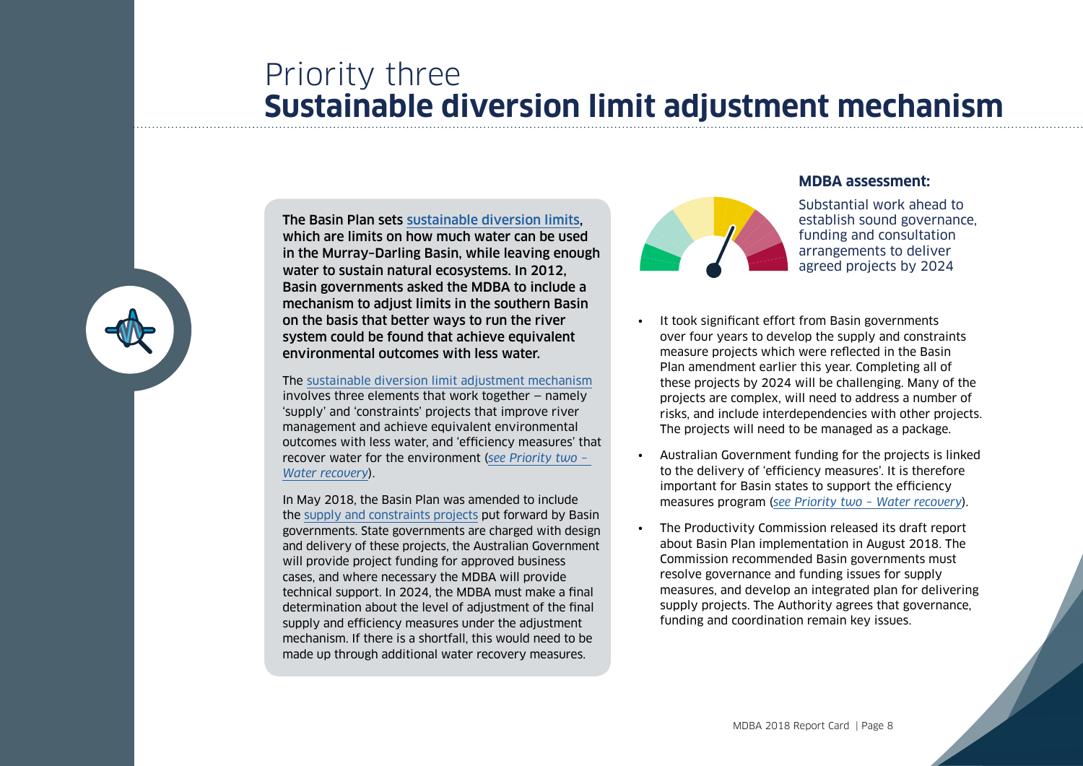## <span id="page-7-0"></span>Priority three **Sustainable diversion limit adjustment mechanism**



The Basin Plan sets [sustainable diversion limits,](https://www.mdba.gov.au/basin-plan-roll-out/sustainable-diversion-limits) which are limits on how much water can be used in the Murray–Darling Basin, while leaving enough water to sustain natural ecosystems. In 2012, Basin governments asked the MDBA to include a mechanism to adjust limits in the southern Basin on the basis that better ways to run the river system could be found that achieve equivalent environmental outcomes with less water.

#### The sustainable diversion limit [adjustment mechanism](https://www.mdba.gov.au/basin-plan-roll-out/sustainable-diversion-limits/sdlam)

involves three elements that work together — namely 'supply' and 'constraints' projects that improve river management and achieve equivalent environmental outcomes with less water, and 'efficiency measures' that recover water for the environment (*[see Priority two –](#page-5-0)  [Water recovery](#page-5-0)*).

In May 2018, the Basin Plan was amended to include the [supply and constraints projects](https://www.mdba.gov.au/basin-plan-roll-out/sustainable-diversion-limits/sdl-adjustment-proposals-state-projects) put forward by Basin governments. State governments are charged with design and delivery of these projects, the Australian Government will provide project funding for approved business cases, and where necessary the MDBA will provide technical support. In 2024, the MDBA must make a final determination about the level of adjustment of the final supply and efficiency measures under the adjustment mechanism. If there is a shortfall, this would need to be made up through additional water recovery measures.

#### **MDBA assessment:**



Substantial work ahead to establish sound governance, funding and consultation arrangements to deliver agreed projects by 2024

- It took significant effort from Basin governments over four years to develop the supply and constraints measure projects which were reflected in the Basin Plan amendment earlier this year. Completing all of these projects by 2024 will be challenging. Many of the projects are complex, will need to address a number of risks, and include interdependencies with other projects. The projects will need to be managed as a package.
- Australian Government funding for the projects is linked to the delivery of 'efficiency measures'. It is therefore important for Basin states to support the efficiency measures program (*[see Priority two – Water recovery](#page-5-0)*).
- The Productivity Commission released its draft report about Basin Plan implementation in August 2018. The Commission recommended Basin governments must resolve governance and funding issues for supply measures, and develop an integrated plan for delivering supply projects. The Authority agrees that governance, funding and coordination remain key issues.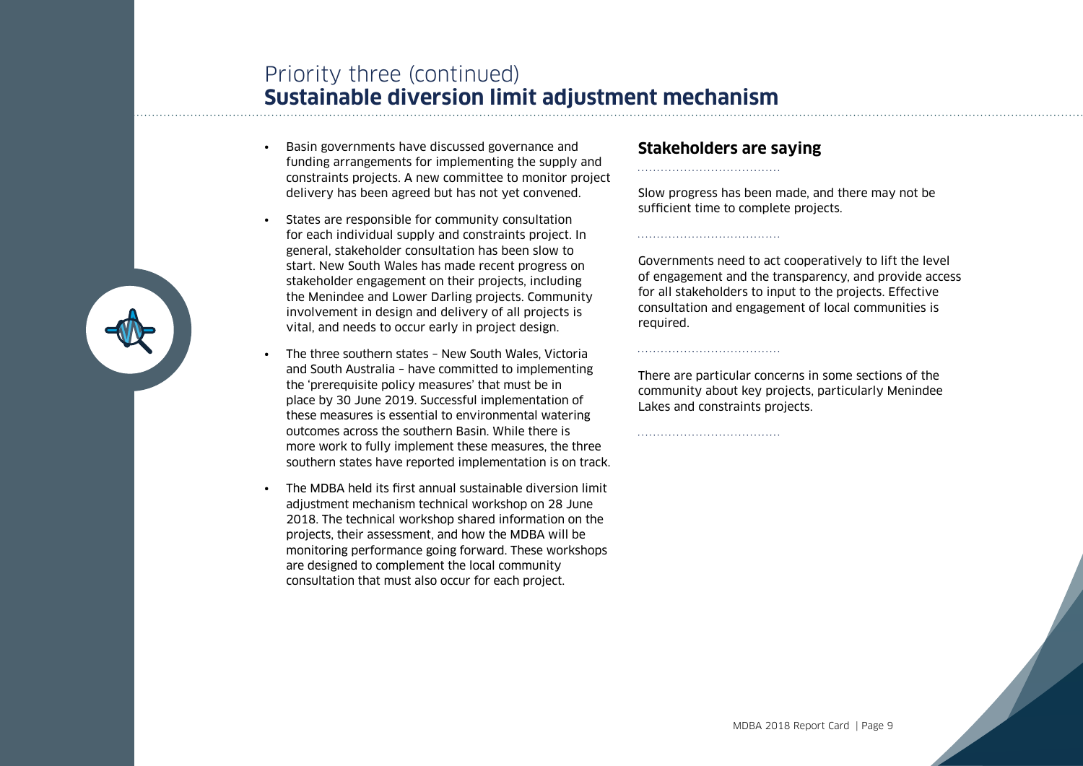## Priority three (continued) **Sustainable diversion limit adjustment mechanism**

- Basin governments have discussed governance and funding arrangements for implementing the supply and constraints projects. A new committee to monitor project delivery has been agreed but has not yet convened.
- States are responsible for community consultation for each individual supply and constraints project. In general, stakeholder consultation has been slow to start. New South Wales has made recent progress on stakeholder engagement on their projects, including the Menindee and Lower Darling projects. Community involvement in design and delivery of all projects is vital, and needs to occur early in project design.
- The three southern states New South Wales, Victoria and South Australia – have committed to implementing the 'prerequisite policy measures' that must be in place by 30 June 2019. Successful implementation of these measures is essential to environmental watering outcomes across the southern Basin. While there is more work to fully implement these measures, the three southern states have reported implementation is on track.
- The MDBA held its first annual sustainable diversion limit adjustment mechanism technical workshop on 28 June 2018. The technical workshop shared information on the projects, their assessment, and how the MDBA will be monitoring performance going forward. These workshops are designed to complement the local community consultation that must also occur for each project.

### **Stakeholders are saying**

Slow progress has been made, and there may not be sufficient time to complete projects.

Governments need to act cooperatively to lift the level of engagement and the transparency, and provide access for all stakeholders to input to the projects. Effective consultation and engagement of local communities is required.

There are particular concerns in some sections of the community about key projects, particularly Menindee Lakes and constraints projects.

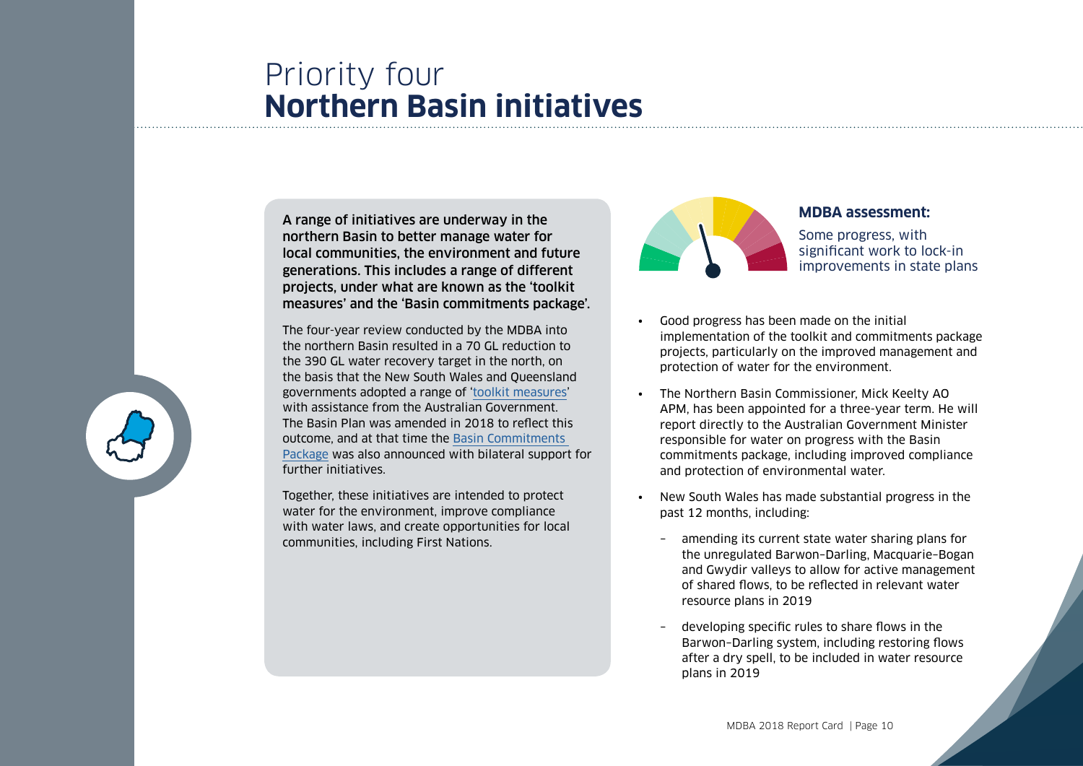## Priority four **Northern Basin initiatives**

A range of initiatives are underway in the northern Basin to better manage water for local communities, the environment and future generations. This includes a range of different projects, under what are known as the 'toolkit measures' and the 'Basin commitments package'.

The four-year review conducted by the MDBA into the northern Basin resulted in a 70 GL reduction to the 390 GL water recovery target in the north, on the basis that the New South Wales and Queensland governments adopted a range of '[toolkit measures'](http://www.agriculture.gov.au/water/mdb/basin-plan/commitments/environmental-works-measures) with assistance from the Australian Government The Basin Plan was amended in 2018 to reflect this outcome, and at that time the [Basin Commitments](http://www.agriculture.gov.au/water/mdb/basin-plan/commitments)  [Package](http://www.agriculture.gov.au/water/mdb/basin-plan/commitments) was also announced with bilateral support for further initiatives.

Together, these initiatives are intended to protect water for the environment, improve compliance with water laws, and create opportunities for local communities, including First Nations.



#### **MDBA assessment:**

Some progress, with significant work to lock-in improvements in state plans

- Good progress has been made on the initial implementation of the toolkit and commitments package projects, particularly on the improved management and protection of water for the environment.
- The Northern Basin Commissioner, Mick Keelty AO APM, has been appointed for a three-year term. He will report directly to the Australian Government Minister responsible for water on progress with the Basin commitments package, including improved compliance and protection of environmental water.
- New South Wales has made substantial progress in the past 12 months, including:
	- amending its current state water sharing plans for the unregulated Barwon–Darling, Macquarie–Bogan and Gwydir valleys to allow for active management of shared flows, to be reflected in relevant water resource plans in 2019
	- developing specific rules to share flows in the Barwon–Darling system, including restoring flows after a dry spell, to be included in water resource plans in 2019

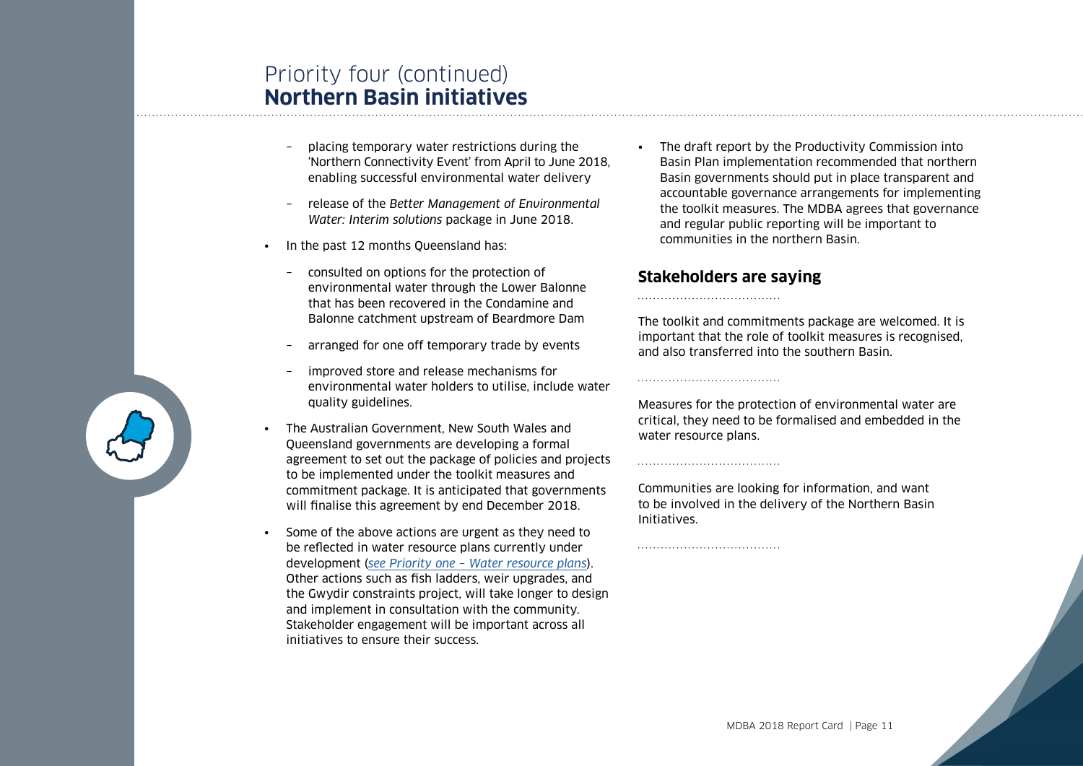## Priority four (continued) **Northern Basin initiatives**

- placing temporary water restrictions during the 'Northern Connectivity Event' from April to June 2018, enabling successful environmental water delivery
- release of the *Better Management of Environmental Water: Interim solutions* package in June 2018.
- In the past 12 months Queensland has:
	- consulted on options for the protection of environmental water through the Lower Balonne that has been recovered in the Condamine and Balonne catchment upstream of Beardmore Dam
	- arranged for one off temporary trade by events
	- improved store and release mechanisms for environmental water holders to utilise, include water quality guidelines.
- The Australian Government, New South Wales and Queensland governments are developing a formal agreement to set out the package of policies and projects to be implemented under the toolkit measures and commitment package. It is anticipated that governments will finalise this agreement by end December 2018.
- Some of the above actions are urgent as they need to be reflected in water resource plans currently under development (*[see Priority one – Water resource plans](#page-3-0)*). Other actions such as fish ladders, weir upgrades, and the Gwydir constraints project, will take longer to design and implement in consultation with the community. Stakeholder engagement will be important across all initiatives to ensure their success.

The draft report by the Productivity Commission into Basin Plan implementation recommended that northern Basin governments should put in place transparent and accountable governance arrangements for implementing the toolkit measures. The MDBA agrees that governance and regular public reporting will be important to communities in the northern Basin.

## **Stakeholders are saying**

The toolkit and commitments package are welcomed. It is important that the role of toolkit measures is recognised, and also transferred into the southern Basin.

Measures for the protection of environmental water are critical, they need to be formalised and embedded in the water resource plans.

Communities are looking for information, and want to be involved in the delivery of the Northern Basin Initiatives.

MDBA 2018 Report Card | Page 11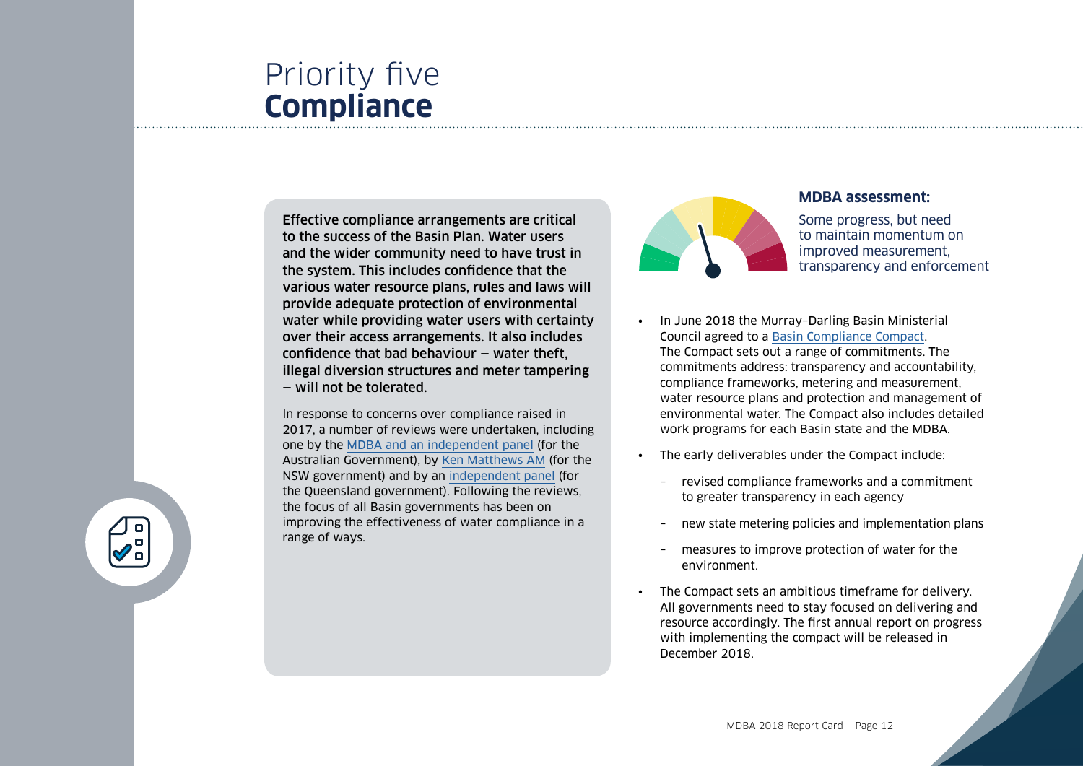## Priority five **Compliance**

Effective compliance arrangements are critical to the success of the Basin Plan. Water users and the wider community need to have trust in the system. This includes confidence that the various water resource plans, rules and laws will provide adequate protection of environmental water while providing water users with certainty over their access arrangements. It also includes confidence that bad behaviour — water theft, illegal diversion structures and meter tampering — will not be tolerated.

In response to concerns over compliance raised in 2017, a number of reviews were undertaken, including one by the [MDBA and an independent panel](https://www.mdba.gov.au/publications/mdba-reports/murray-darling-basin-water-compliance-review) (for the Australian Government), by [Ken Matthews AM](https://www.industry.nsw.gov.au/about/our-business/independent-review-water-management-and-compliance) (for the NSW government) and by an [independent panel](https://www.dnrme.qld.gov.au/__data/assets/pdf_file/0010/1396756/independent-audit-water.pdf) (for the Queensland government). Following the reviews, the focus of all Basin governments has been on improving the effectiveness of water compliance in a range of ways.



#### **MDBA assessment:**

Some progress, but need to maintain momentum on improved measurement, transparency and enforcement

- In June 2018 the Murray–Darling Basin Ministerial Council agreed to a [Basin Compliance Compact.](https://www.mdba.gov.au/publications/independent-reports/basin-compliance-compact) The Compact sets out a range of commitments. The commitments address: transparency and accountability, compliance frameworks, metering and measurement, water resource plans and protection and management of environmental water. The Compact also includes detailed work programs for each Basin state and the MDBA.
- The early deliverables under the Compact include:
	- revised compliance frameworks and a commitment to greater transparency in each agency
	- new state metering policies and implementation plans
	- measures to improve protection of water for the environment.
- The Compact sets an ambitious timeframe for delivery. All governments need to stay focused on delivering and resource accordingly. The first annual report on progress with implementing the compact will be released in December 2018.

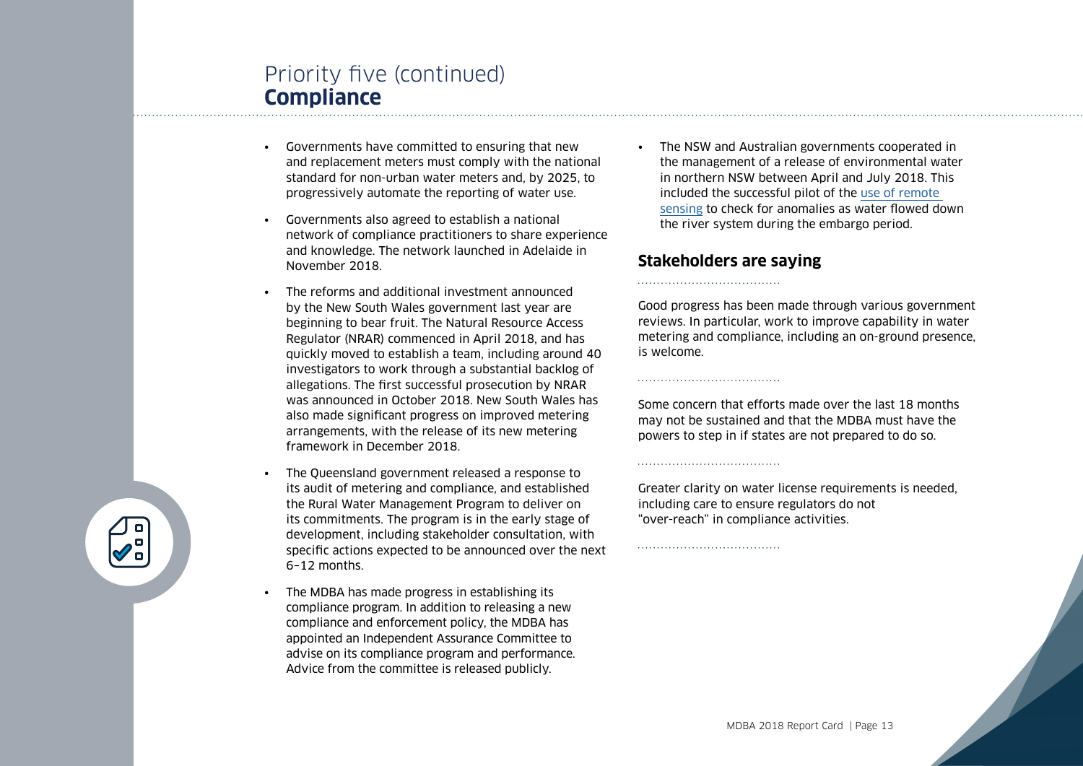## Priority five (continued) **Compliance**

- Governments have committed to ensuring that new and replacement meters must comply with the national standard for non-urban water meters and, by 2025, to progressively automate the reporting of water use.
- Governments also agreed to establish a national network of compliance practitioners to share experience and knowledge. The network launched in Adelaide in November 2018.
- The reforms and additional investment announced by the New South Wales government last year are beginning to bear fruit. The Natural Resource Access Regulator (NRAR) commenced in April 2018, and has quickly moved to establish a team, including around 40 investigators to work through a substantial backlog of allegations. The first successful prosecution by NRAR was announced in October 2018. New South Wales has also made significant progress on improved metering arrangements, with the release of its new metering framework in December 2018.
- The Queensland government released a response to its audit of metering and compliance, and established the Rural Water Management Program to deliver on its commitments. The program is in the early stage of development, including stakeholder consultation, with specific actions expected to be announced over the next 6–12 months.
- The MDBA has made progress in establishing its compliance program. In addition to releasing a new compliance and enforcement policy, the MDBA has appointed an Independent Assurance Committee to advise on its compliance program and performance. Advice from the committee is released publicly.

• The NSW and Australian governments cooperated in the management of a release of environmental water in northern NSW between April and July 2018. This included the successful pilot of the [use of remote](https://www.mdba.gov.au/publications/mdba-reports/audit-assurance)  [sensing](https://www.mdba.gov.au/publications/mdba-reports/audit-assurance) to check for anomalies as water flowed down the river system during the embargo period.

### **Stakeholders are saying**

Good progress has been made through various government reviews. In particular, work to improve capability in water metering and compliance, including an on-ground presence, is welcome.

Some concern that efforts made over the last 18 months may not be sustained and that the MDBA must have the powers to step in if states are not prepared to do so.

Greater clarity on water license requirements is needed, including care to ensure regulators do not "over-reach" in compliance activities.

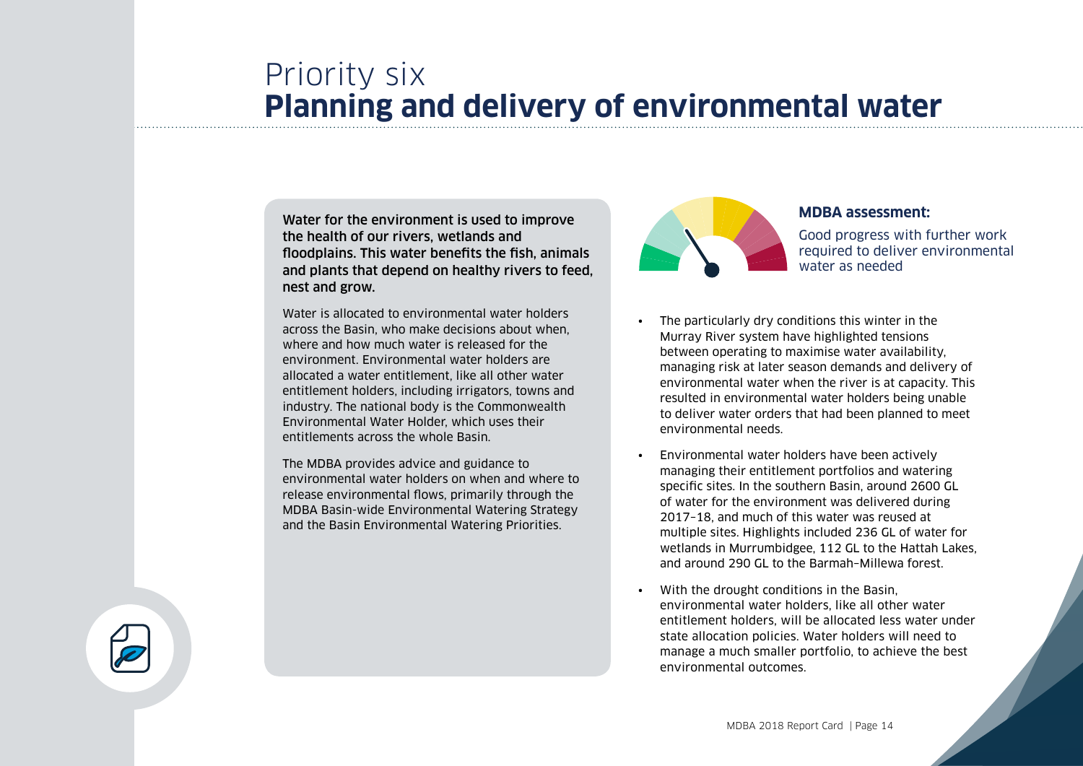## Priority six **Planning and delivery of environmental water**

Water for the environment is used to improve the health of our rivers, wetlands and floodplains. This water benefits the fish, animals and plants that depend on healthy rivers to feed, nest and grow.

Water is allocated to environmental water holders across the Basin, who make decisions about when, where and how much water is released for the environment. Environmental water holders are allocated a water entitlement, like all other water entitlement holders, including irrigators, towns and industry. The national body is the Commonwealth Environmental Water Holder, which uses their entitlements across the whole Basin.

The MDBA provides advice and guidance to environmental water holders on when and where to release environmental flows, primarily through the MDBA Basin-wide Environmental Watering Strategy and the Basin Environmental Watering Priorities.



#### **MDBA assessment:**

Good progress with further work required to deliver environmental water as needed

- The particularly dry conditions this winter in the Murray River system have highlighted tensions between operating to maximise water availability, managing risk at later season demands and delivery of environmental water when the river is at capacity. This resulted in environmental water holders being unable to deliver water orders that had been planned to meet environmental needs.
- Environmental water holders have been actively managing their entitlement portfolios and watering specific sites. In the southern Basin, around 2600 GL of water for the environment was delivered during 2017–18, and much of this water was reused at multiple sites. Highlights included 236 GL of water for wetlands in Murrumbidgee, 112 GL to the Hattah Lakes, and around 290 GL to the Barmah–Millewa forest.
- With the drought conditions in the Basin, environmental water holders, like all other water entitlement holders, will be allocated less water under state allocation policies. Water holders will need to manage a much smaller portfolio, to achieve the best environmental outcomes.

MDBA 2018 Report Card | Page 14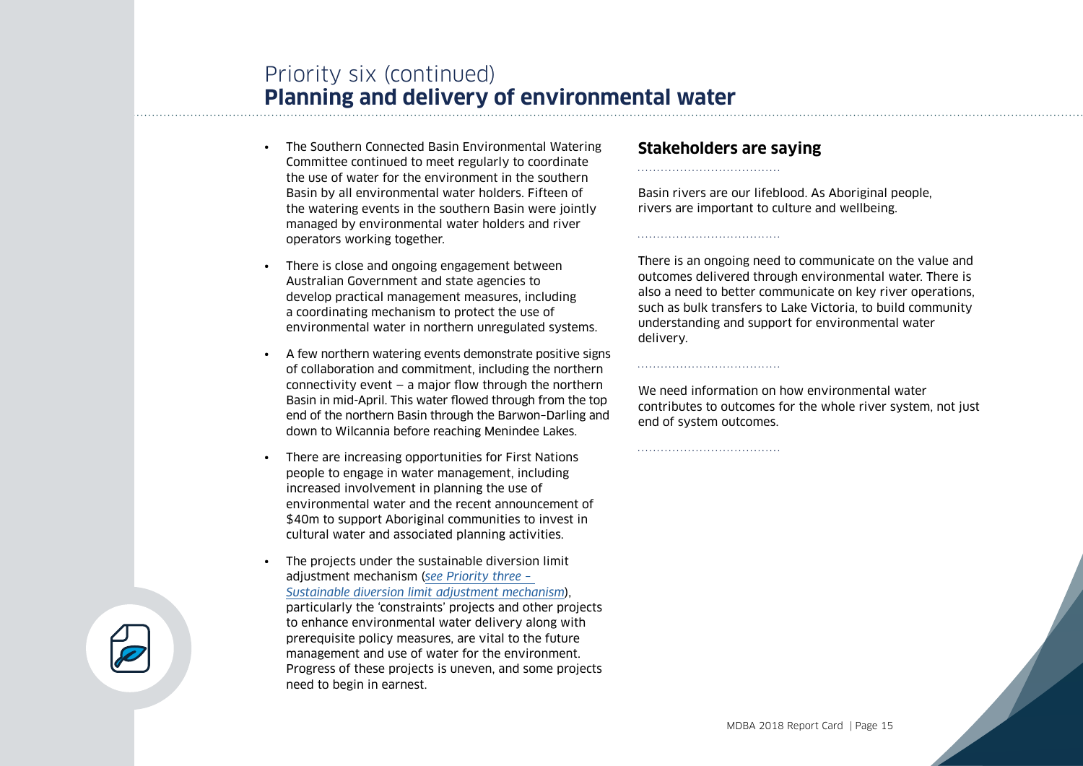## Priority six (continued) **Planning and delivery of environmental water**

- The Southern Connected Basin Environmental Watering Committee continued to meet regularly to coordinate the use of water for the environment in the southern Basin by all environmental water holders. Fifteen of the watering events in the southern Basin were jointly managed by environmental water holders and river operators working together.
- There is close and ongoing engagement between Australian Government and state agencies to develop practical management measures, including a coordinating mechanism to protect the use of environmental water in northern unregulated systems.
- A few northern watering events demonstrate positive signs of collaboration and commitment, including the northern connectivity event — a major flow through the northern Basin in mid-April. This water flowed through from the top end of the northern Basin through the Barwon–Darling and down to Wilcannia before reaching Menindee Lakes.
- There are increasing opportunities for First Nations people to engage in water management, including increased involvement in planning the use of environmental water and the recent announcement of \$40m to support Aboriginal communities to invest in cultural water and associated planning activities.
- The projects under the sustainable diversion limit adjustment mechanism (*[see Priority three –](#page-7-0)  [Sustainable diversion limit adjustment mechanism](#page-7-0)*), particularly the 'constraints' projects and other projects to enhance environmental water delivery along with prerequisite policy measures, are vital to the future management and use of water for the environment. Progress of these projects is uneven, and some projects need to begin in earnest.

### **Stakeholders are saying**

Basin rivers are our lifeblood. As Aboriginal people, rivers are important to culture and wellbeing.

There is an ongoing need to communicate on the value and outcomes delivered through environmental water. There is also a need to better communicate on key river operations, such as bulk transfers to Lake Victoria, to build community understanding and support for environmental water delivery.

We need information on how environmental water contributes to outcomes for the whole river system, not just end of system outcomes.